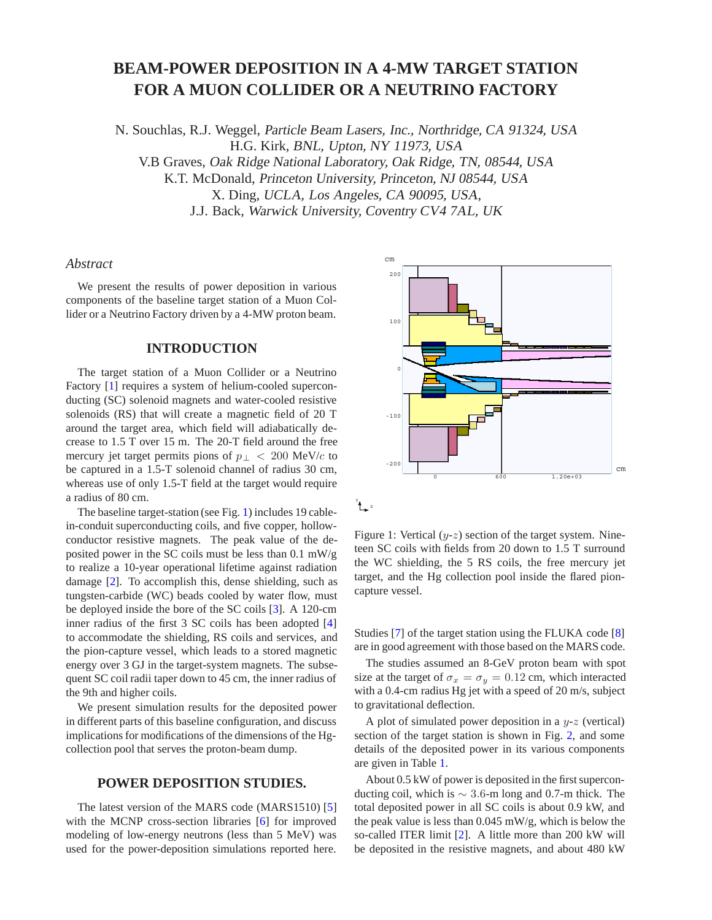# **BEAM-POWER DEPOSITION IN A 4-MW TARGET STATION FOR A MUON COLLIDER OR A NEUTRINO FACTORY**

N. Souchlas, R.J. Weggel, Particle Beam Lasers, Inc., Northridge, CA 91324, USA H.G. Kirk, BNL, Upton, NY 11973, USA V.B Graves, Oak Ridge National Laboratory, Oak Ridge, TN, 08544, USA K.T. McDonald, Princeton University, Princeton, NJ 08544, USA X. Ding, UCLA, Los Angeles, CA 90095, USA, J.J. Back, Warwick University, Coventry CV4 7AL, UK

# *Abstract*

We present the results of power deposition in various components of the baseline target station of a Muon Collider or a Neutrino Factory driven by a 4-MW proton beam.

# **INTRODUCTION**

The target station of a Muon Collider or a Neutrino Factory [1] requires a system of helium-cooled superconducting (SC) solenoid magnets and water-cooled resistive solenoids (RS) that will create a magnetic field of 20 T around the target area, which field will adiabatically decrease to 1.5 T over 15 m. The 20-T field around the free mercury jet target permits pions of  $p<sub>⊥</sub> < 200$  MeV/c to be captured in a 1.5-T solenoid channel of radius 30 cm, whereas use of only 1.5-T field at the target would require a radius of 80 cm.

The baseline target-station (see Fig. 1) includes 19 cablein-conduit superconducting coils, and five copper, hollowconductor resistive magnets. The peak value of the deposited power in the SC coils must be less than 0.1 mW/g to realize a 10-year operational lifetime against radiation damage [2]. To accomplish this, dense shielding, such as tungsten-carbide (WC) beads cooled by water flow, must be deployed inside the bore of the SC coils [3]. A 120-cm inner radius of the first 3 SC coils has been adopted [4] to accommodate the shielding, RS coils and services, and the pion-capture vessel, which leads to a stored magnetic energy over 3 GJ in the target-system magnets. The subsequent SC coil radii taper down to 45 cm, the inner radius of the 9th and higher coils.

We present simulation results for the deposited power in different parts of this baseline configuration, and discuss implications for modifications of the dimensions of the Hgcollection pool that serves the proton-beam dump.

# **POWER DEPOSITION STUDIES.**

The latest version of the MARS code (MARS1510) [5] with the MCNP cross-section libraries [6] for improved modeling of low-energy neutrons (less than 5 MeV) was used for the power-deposition simulations reported here.



 $^{\texttt{Y}}$   $^{\texttt{Z}}$ 

Figure 1: Vertical  $(y-z)$  section of the target system. Nineteen SC coils with fields from 20 down to 1.5 T surround the WC shielding, the 5 RS coils, the free mercury jet target, and the Hg collection pool inside the flared pioncapture vessel.

Studies [7] of the target station using the FLUKA code [8] are in good agreement with those based on the MARS code.

The studies assumed an 8-GeV proton beam with spot size at the target of  $\sigma_x = \sigma_y = 0.12$  cm, which interacted with a 0.4-cm radius Hg jet with a speed of 20 m/s, subject to gravitational deflection.

A plot of simulated power deposition in a  $y-z$  (vertical) section of the target station is shown in Fig. 2, and some details of the deposited power in its various components are given in Table 1.

About 0.5 kW of power is deposited in the first superconducting coil, which is  $\sim$  3.6-m long and 0.7-m thick. The total deposited power in all SC coils is about 0.9 kW, and the peak value is less than 0.045 mW/g, which is below the so-called ITER limit [2]. A little more than 200 kW will be deposited in the resistive magnets, and about 480 kW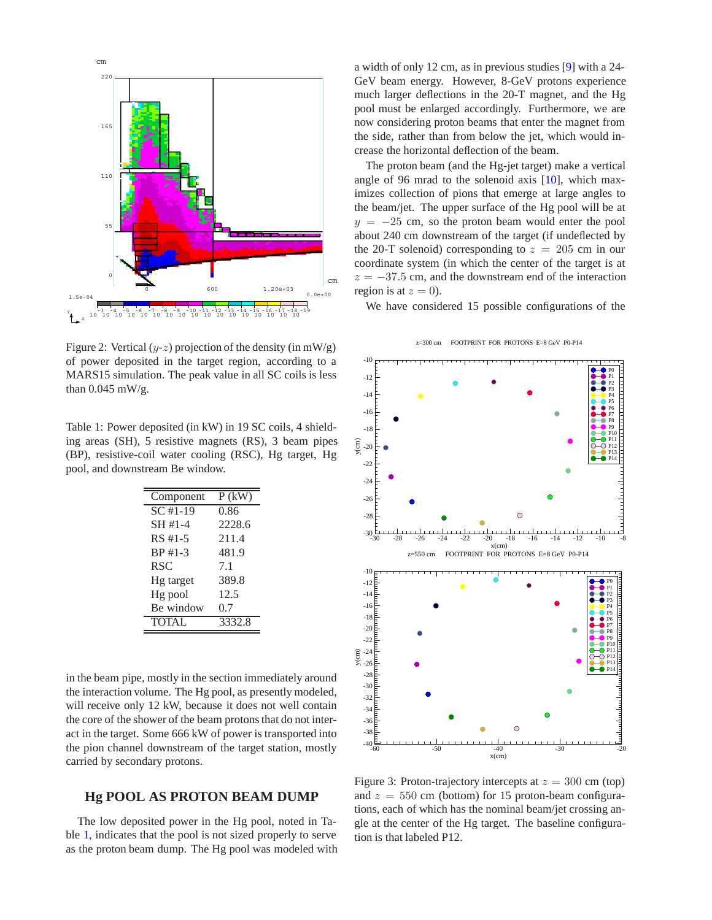

Figure 2: Vertical  $(y-z)$  projection of the density (in mW/g) of power deposited in the target region, according to a MARS15 simulation. The peak value in all SC coils is less than 0.045 mW/g.

Table 1: Power deposited (in kW) in 19 SC coils, 4 shielding areas (SH), 5 resistive magnets (RS), 3 beam pipes (BP), resistive-coil water cooling (RSC), Hg target, Hg pool, and downstream Be window.

| Component             | $P$ (kW) |
|-----------------------|----------|
| $\overline{SC}$ #1-19 | 0.86     |
| SH #1-4               | 2228.6   |
| RS #1-5               | 211.4    |
| BP #1-3               | 481.9    |
| <b>RSC</b>            | 7.1      |
| Hg target             | 389.8    |
| Hg pool               | 12.5     |
| Be window             | 0.7      |
| <b>TOTAL</b>          | 3332.8   |

in the beam pipe, mostly in the section immediately around the interaction volume. The Hg pool, as presently modeled, will receive only 12 kW, because it does not well contain the core of the shower of the beam protons that do not interact in the target. Some 666 kW of power is transported into the pion channel downstream of the target station, mostly carried by secondary protons.

#### **Hg POOL AS PROTON BEAM DUMP**

The low deposited power in the Hg pool, noted in Table 1, indicates that the pool is not sized properly to serve as the proton beam dump. The Hg pool was modeled with a width of only 12 cm, as in previous studies [9] with a 24- GeV beam energy. However, 8-GeV protons experience much larger deflections in the 20-T magnet, and the Hg pool must be enlarged accordingly. Furthermore, we are now considering proton beams that enter the magnet from the side, rather than from below the jet, which would increase the horizontal deflection of the beam.

The proton beam (and the Hg-jet target) make a vertical angle of 96 mrad to the solenoid axis  $[10]$ , which maximizes collection of pions that emerge at large angles to the beam/jet. The upper surface of the Hg pool will be at  $y = -25$  cm, so the proton beam would enter the pool about 240 cm downstream of the target (if undeflected by the 20-T solenoid) corresponding to  $z = 205$  cm in our coordinate system (in which the center of the target is at  $z = -37.5$  cm, and the downstream end of the interaction region is at  $z = 0$ ).

We have considered 15 possible configurations of the

z=300 cm FOOTPRINT FOR PROTONS E=8 GeV P0-P14



Figure 3: Proton-trajectory intercepts at  $z = 300$  cm (top) and  $z = 550$  cm (bottom) for 15 proton-beam configurations, each of which has the nominal beam/jet crossing angle at the center of the Hg target. The baseline configuration is that labeled P12.